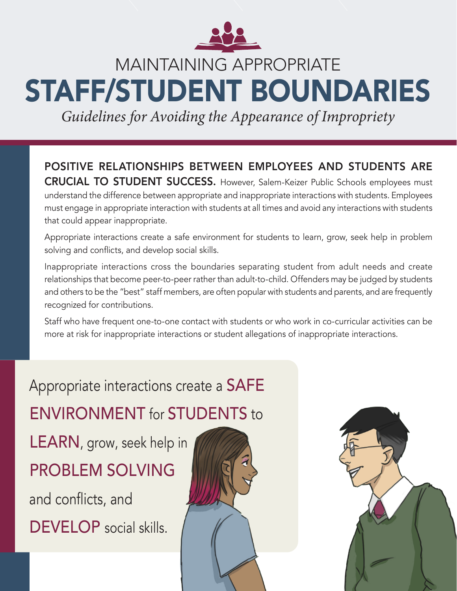

*Guidelines for Avoiding the Appearance of Impropriety*

POSITIVE RELATIONSHIPS BETWEEN EMPLOYEES AND STUDENTS ARE CRUCIAL TO STUDENT SUCCESS. However, Salem-Keizer Public Schools employees must understand the difference between appropriate and inappropriate interactions with students. Employees must engage in appropriate interaction with students at all times and avoid any interactions with students that could appear inappropriate.

Appropriate interactions create a safe environment for students to learn, grow, seek help in problem solving and conflicts, and develop social skills.

Inappropriate interactions cross the boundaries separating student from adult needs and create relationships that become peer-to-peer rather than adult-to-child. Offenders may be judged by students and others to be the "best" staff members, are often popular with students and parents, and are frequently recognized for contributions.

Staff who have frequent one-to-one contact with students or who work in co-curricular activities can be more at risk for inappropriate interactions or student allegations of inappropriate interactions.

Appropriate interactions create a SAFE ENVIRONMENT for STUDENTS to LEARN, grow, seek help in PROBLEM SOLVING and conflicts, and DEVELOP social skills.

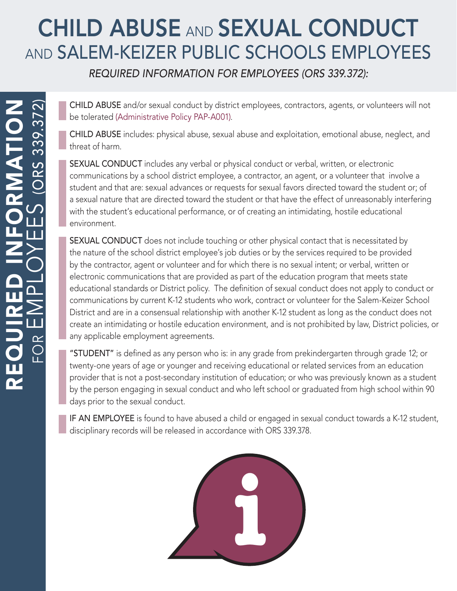# CHILD ABUSE AND SEXUAL CONDUCT AND SALEM-KEIZER PUBLIC SCHOOLS EMPLOYEES

REQUIRED INFORMATION FOR EMPLOYEES (ORS 339.372):

CHILD ABUSE and/or sexual conduct by district employees, contractors, agents, or volunteers will not be tolerated [\(Administrative Policy PAP-A001\)](https://salkeiz.sharepoint.com/qam/QAMDocuments/PAP-A001-Child%20Abuse%20and%20Sexual%20Conduct.pdf).

CHILD ABUSE includes: physical abuse, sexual abuse and exploitation, emotional abuse, neglect, and threat of harm.

SEXUAL CONDUCT includes any verbal or physical conduct or verbal, written, or electronic communications by a school district employee, a contractor, an agent, or a volunteer that involve a student and that are: sexual advances or requests for sexual favors directed toward the student or; of a sexual nature that are directed toward the student or that have the effect of unreasonably interfering with the student's educational performance, or of creating an intimidating, hostile educational environment.

SEXUAL CONDUCT does not include touching or other physical contact that is necessitated by the nature of the school district employee's job duties or by the services required to be provided by the contractor, agent or volunteer and for which there is no sexual intent; or verbal, written or electronic communications that are provided as part of the education program that meets state educational standards or District policy. The definition of sexual conduct does not apply to conduct or communications by current K-12 students who work, contract or volunteer for the Salem-Keizer School District and are in a consensual relationship with another K-12 student as long as the conduct does not create an intimidating or hostile education environment, and is not prohibited by law, District policies, or any applicable employment agreements.

"STUDENT" is defined as any person who is: in any grade from prekindergarten through grade 12; or twenty-one years of age or younger and receiving educational or related services from an education provider that is not a post-secondary institution of education; or who was previously known as a student by the person engaging in sexual conduct and who left school or graduated from high school within 90 days prior to the sexual conduct.

IF AN EMPLOYEE is found to have abused a child or engaged in sexual conduct towards a K-12 student, disciplinary records will be released in accordance with ORS 339.378.

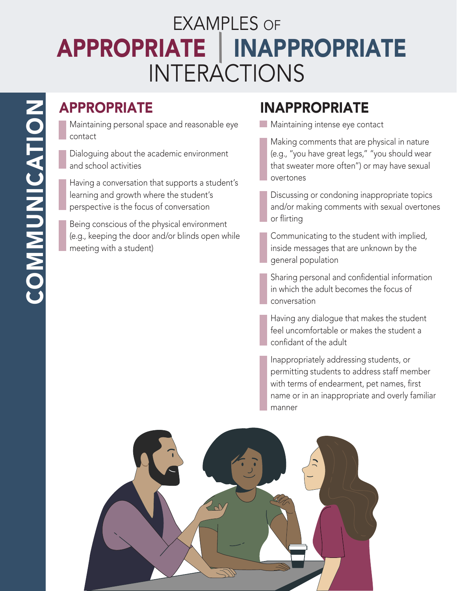# EXAMPLES OF APPROPRIATE | INAPPROPRIATE INTERACTIONS

#### APPROPRIATE

Maintaining personal space and reasonable eye contact

Dialoguing about the academic environment and school activities

Having a conversation that supports a student's learning and growth where the student's perspective is the focus of conversation

Being conscious of the physical environment (e.g., keeping the door and/or blinds open while meeting with a student)

#### INAPPROPRIATE

**Maintaining intense eye contact** 

Making comments that are physical in nature (e.g., "you have great legs," "you should wear that sweater more often") or may have sexual overtones

Discussing or condoning inappropriate topics and/or making comments with sexual overtones or flirting

Communicating to the student with implied, inside messages that are unknown by the general population

Sharing personal and confidential information in which the adult becomes the focus of conversation

Having any dialogue that makes the student feel uncomfortable or makes the student a confidant of the adult

Inappropriately addressing students, or permitting students to address staff member with terms of endearment, pet names, first name or in an inappropriate and overly familiar manner

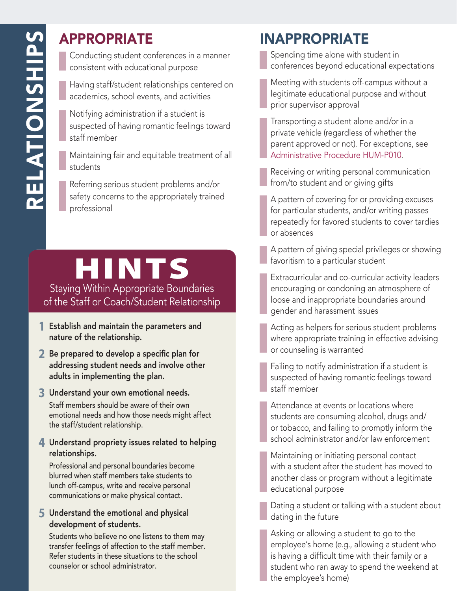#### APPROPRIATE

Conducting student conferences in a manner consistent with educational purpose

Having staff/student relationships centered on academics, school events, and activities

Notifying administration if a student is suspected of having romantic feelings toward staff member

Maintaining fair and equitable treatment of all students

Referring serious student problems and/or safety concerns to the appropriately trained professional

# HINTS

Staying Within Appropriate Boundaries of the Staff or Coach/Student Relationship

- **1** Establish and maintain the parameters and nature of the relationship.
- **2** Be prepared to develop a specific plan for addressing student needs and involve other adults in implementing the plan.
- **3** Understand your own emotional needs.

Staff members should be aware of their own emotional needs and how those needs might affect the staff/student relationship.

#### **4** Understand propriety issues related to helping relationships.

Professional and personal boundaries become blurred when staff members take students to lunch off-campus, write and receive personal communications or make physical contact.

#### **5** Understand the emotional and physical development of students.

Students who believe no one listens to them may transfer feelings of affection to the staff member. Refer students in these situations to the school counselor or school administrator.

#### INAPPROPRIATE

Spending time alone with student in conferences beyond educational expectations

Meeting with students off-campus without a legitimate educational purpose and without prior supervisor approval

Transporting a student alone and/or in a private vehicle (regardless of whether the parent approved or not). For exceptions, see [Administrative Procedure HUM-P010](https://salkeiz.sharepoint.com/qam/QAMDocuments/HUM-P010-Use%20of%20Private%20Vehicles%20by%20Staff%20for%20Student%20Transportation.pdf).

Receiving or writing personal communication from/to student and or giving gifts

A pattern of covering for or providing excuses for particular students, and/or writing passes repeatedly for favored students to cover tardies or absences

A pattern of giving special privileges or showing favoritism to a particular student

Extracurricular and co-curricular activity leaders encouraging or condoning an atmosphere of loose and inappropriate boundaries around gender and harassment issues



Failing to notify administration if a student is suspected of having romantic feelings toward staff member

Attendance at events or locations where students are consuming alcohol, drugs and/ or tobacco, and failing to promptly inform the school administrator and/or law enforcement

Maintaining or initiating personal contact with a student after the student has moved to another class or program without a legitimate educational purpose

Dating a student or talking with a student about dating in the future

Asking or allowing a student to go to the employee's home (e.g., allowing a student who is having a difficult time with their family or a student who ran away to spend the weekend at the employee's home)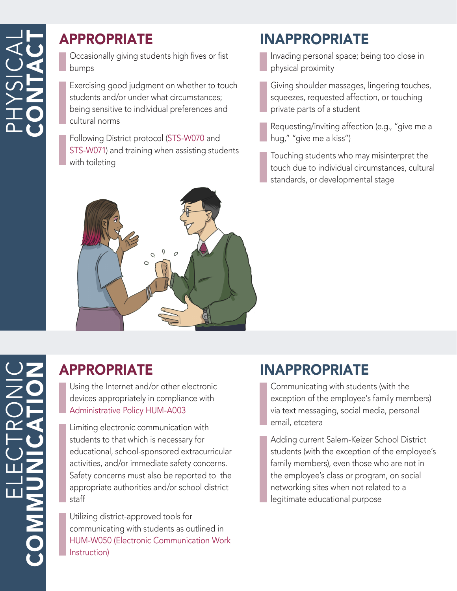#### APPROPRIATE

Occasionally giving students high fives or fist bumps

Exercising good judgment on whether to touch students and/or under what circumstances; being sensitive to individual preferences and cultural norms

Following District protocol ([STS-W070](https://salkeiz.sharepoint.com/qam/QAMDocuments/STS-W070-Bathroom%20Protocol%20for%20Students%20in%20Self-Contained%20Classrooms.pdf) and [STS-W071](https://salkeiz.sharepoint.com/qam/QAMDocuments/STS-W071-Bathroom%20Protocol%20-%20Non%20Self-Contained%20Classrooms.pdf)) and training when assisting students with toileting



#### INAPPROPRIATE

Invading personal space; being too close in physical proximity

Giving shoulder massages, lingering touches, squeezes, requested affection, or touching private parts of a student

Requesting/inviting affection (e.g., "give me a hug," "give me a kiss")

Touching students who may misinterpret the touch due to individual circumstances, cultural standards, or developmental stage

# ELECTRONIC COMMUNICATION $\mathbf{L}$

#### APPROPRIATE

Using the Internet and/or other electronic devices appropriately in compliance with [Administrative Policy HUM-A003](https://salkeiz.sharepoint.com/qam/QAMDocuments/HUM-A003-Computer,%20Mobile%20Devices,%20Network,%20and%20Email%20Staff%20Use.pdf)

Limiting electronic communication with students to that which is necessary for educational, school-sponsored extracurricular activities, and/or immediate safety concerns. Safety concerns must also be reported to the appropriate authorities and/or school district staff

Utilizing district-approved tools for communicating with students as outlined in [HUM-W050 \(Electronic Communication Work](https://salkeiz.sharepoint.com/qam/QAMDocuments/HUM-W050-Staff%20Use%20of%20Electronic%20Communication%20Tools.pdf)  [Instruction\)](https://salkeiz.sharepoint.com/qam/QAMDocuments/HUM-W050-Staff%20Use%20of%20Electronic%20Communication%20Tools.pdf)

#### INAPPROPRIATE

Communicating with students (with the exception of the employee's family members) via text messaging, social media, personal email, etcetera

Adding current Salem-Keizer School District students (with the exception of the employee's family members), even those who are not in the employee's class or program, on social networking sites when not related to a legitimate educational purpose